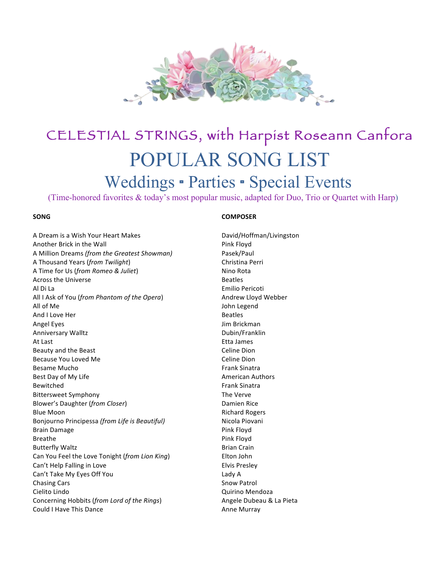

## CELESTIAL STRINGS, with Harpist Roseann Canfora POPULAR SONG LIST Weddings • Parties • Special Events (Time-honored favorites & today's most popular music, adapted for Duo, Trio or Quartet with Harp)

A Dream is a Wish Your Heart Makes **David/Hoffman/Livingston** Another Brick in the Wall **Pink Eloyd** Pink Floyd A Million Dreams (from the Greatest Showman) Pasek/Paul A Thousand Years (*from Twilight*) **Christina Perri** Christina Perri A Time for Us (*from Romeo & Juliet*) Nino Rota Across the Universe **Beatles** Beatles Al Di La Emilio Pericoti All I Ask of You (*from Phantom of the Opera*) Andrew Lloyd Webber All of Me John Legend And I Love Her **Beatles** Angel Eyes **Angel Eyes** and the set of the set of the set of the set of the set of the set of the set of the set of the set of the set of the set of the set of the set of the set of the set of the set of the set of the set Anniversary Walltz **Dubin/Franklin** At Last **At Last At Last Example 2 Example 2 Example 2 Example 2 Etta** James Beauty and the Beast **Celine** Dion Because You Loved Me **Source Accord Celine** Dion Besame Mucho **Frank Sinatra Frank Sinatra** *Frank Sinatra* Best Day of My Life American Authors and Development American Authors American Authors Bewitched **Frank Sinatra** Bittersweet Symphony **The Verve** Blower's Daughter (*from Closer*) **Damien Rice** Damien Rice Blue Moon **Richard** Rogers **Richard** Rogers **Richard** Rogers Bonjourno Principessa (from Life is Beautiful) Nicola Piovani Brain Damage **Pink Floyd Pink Floyd** Breathe **Pink Floyd** Butterfly Waltz **Butterfly Waltz Brian** Crain Can You Feel the Love Tonight (*from Lion King*) Elton John Can't Help Falling in Love and the control of the Elvis Presley Can't Take My Eyes Off You **Lames Account Canonic Lady A** Chasing Cars **Snow Patrol** Cielito Lindo Quirino Mendoza Concerning Hobbits (from Lord of the Rings) Angele Dubeau & La Pieta Could I Have This Dance **Anne Murray** 

## **SONG COMPOSER**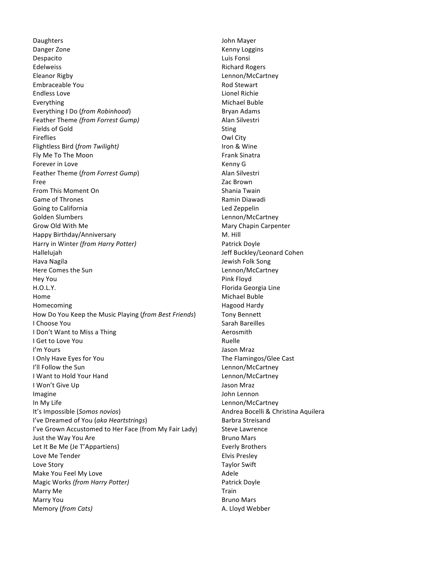Daughters **Daughters Daughters** Danger Zone **National Contract Contract Contract Contract Contract Contract Contract Contract Contract Contract Contract Contract Contract Contract Contract Contract Contract Contract Contract Contract Contract Contract Co** Despacito **Luis** Fonsi Edelweiss **Richard Rogers** Richard Rogers Eleanor Rigby **Eleanor** Rigby **Contract Contract Contract Contract Contract Contract Contract Contract Contract Contract Contract Contract Contract Contract Contract Contract Contract Contract Contract Contract Contract Co** Embraceable You **Rod** Stewart Endless Love **Endless Love Lionel Richie** Everything **Michael Buble** Everything I Do (*from Robinhood*) and a server of Bryan Adams Feather Theme (from Forrest Gump) and a silvestri Fields of Gold Sting Sting Sting Sting Sting Sting Sting Sting **Fireflies Owl City** Flightless Bird (*from Twilight*) **If the Contract Contract Contract Contract Contract Contract Contract Contract Contract Contract Contract Contract Contract Contract Contract Contract Contract Contract Contract Contract** Fly Me To The Moon **Figure 1** and Table 1 and Table 1 and Table 1 and Table 1 and Table 1 and Table 1 and Table 1 and Table 1 and Table 1 and Table 1 and Table 1 and Table 1 and Table 1 and Table 1 and Table 1 and Table 1 Forever in Love **Kenny** G Feather Theme (*from Forrest Gump*) Alan Silvestri Free Zac Brown From This Moment On **Shania** Twain Game of Thrones **All and The Contract Contract Contract Contract Contract Contract Contract Contract Contract Contract Contract Contract Contract Contract Contract Contract Contract Contract Contract Contract Contract Cont** Going to California **Let alignment** Communication and Communication and Let alignment Communication and Let alignment Communication and Let  $\Gamma$ Golden Slumbers **College College College College College College College College College College College College** Grow Old With Me **Mary Chapin** Carpenter Happy Birthday/Anniversary **M.** Hill Harry in Winter *(from Harry Potter)* Patrick Doyle Hallelujah **Jeff Buckley/Leonard Cohen** Hava Nagila **Matter and Solution Community** Contract and Song Jewish Folk Song Here Comes the Sun and the Comes the Sun contract of the Comes of Lennon/McCartney Hey You **Pink Floyd** H.O.L.Y. **Florida Georgia** Line Home Michael Buble Homecoming **Hagood Hardy** How Do You Keep the Music Playing (from Best Friends) Tony Bennett **I** Choose You **Sarah** Bareilles I Don't Want to Miss a Thing and the Controller of the Aerosmith I Get to Love You **Ruelle I'm Yours** and the contract of the contract of the contract of the contract of the contract of the contract of the contract of the contract of the contract of the contract of the contract of the contract of the contract o I Only Have Eyes for You **I CONDUGE CAST CONDUCT** The Flamingos/Glee Cast I'll Follow the Sun contract the Sun contract of the Sun contract Lennon/McCartney I Want to Hold Your Hand Lennon/McCartney I Won't Give Up **Jason Mraz** Imagine **Imagine** and *I* and *I* and *I* and *I* and *I* and *I* and *I* and *I* and *I* and *I* and *I* and *I* and *I* and *I* and *I* and *I* and *I* and *I* and *I* and *I* and *I* and *I* and *I* and *I* and *I* and In My Life **Lennon** Controller Controller Controller Controller Controller Controller Controller Controller Controller Controller Controller Controller Controller Controller Controller Controller Controller Controller Cont It's Impossible (*Somos novios*) and the Company of Andrea Bocelli & Christina Aquilera I've Dreamed of You (aka Heartstrings) Sarbra Streisand I've Grown Accustomed to Her Face (from My Fair Lady) Steve Lawrence Just the Way You Are **Bruno** Mars Let It Be Me (Je T'Appartiens) and the control of the Everly Brothers of the Unit of the Control of the Everly Brothers Love Me Tender **Elvis** Presley Love Story **Taylor** Swift Make You Feel My Love **Adele** Adele Adele Magic Works (from Harry Potter) **Patrick** Doyle Marry Me Marry You **Bruno** Mars Memory (from Cats) and Cats and Cats and Cats and Cats and Cats and Cats and Cats and Cats and Cats and Cats and Cats and Cats and Cats and Cats and Cats and Cats and Cats and Cats and Cats and Cats and Cats and Cats and C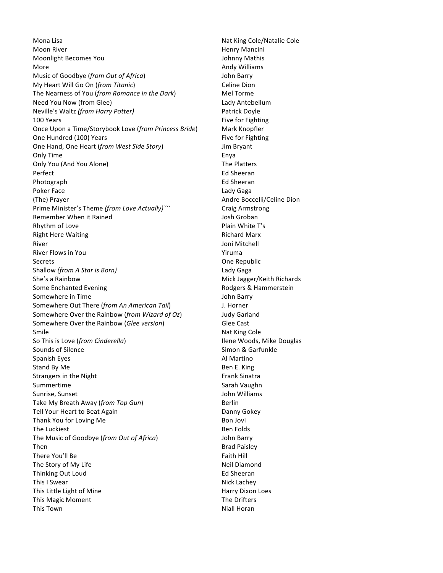Mona Lisa **Matter and Cole According to the Cole According Cole According to According the Cole** Moon River **Music Contract Contract Contract Contract Contract Contract Contract Contract Contract Contract Contract Contract Contract Contract Contract Contract Contract Contract Contract Contract Contract Contract Contra** Moonlight Becomes You **South Accomes** You and Mathis Johnny Mathis More **Andy Williams Andy Williams** Music of Goodbye (*from Out of Africa*) John Barry My Heart Will Go On (*from Titanic*) Celine Dion The Nearness of You (*from Romance in the Dark*) Mel Torme Need You Now (from Glee) example a set of the Lady Antebellum Neville's Waltz (from Harry Potter) Meville's Waltz (From Harry Potter) **100 Years Five for Fighting Five for Fighting** Once Upon a Time/Storybook Love (*from Princess Bride*) Mark Knopfler One Hundred (100) Years **Fixed Strutter Coney Five for Fighting** Cone Hundred (100) Years One Hand, One Heart (*from West Side Story*) Jim Bryant Only Time **Enya** Only You (And You Alone) **The Platters** Perfect **Ed Sheeran** Photograph **Ed Sheeran** Poker Face Lady Gaga (The) Prayer **Andre Boccelli/Celine** Dion Prime Minister's Theme (from Love Actually)``` Craig Armstrong Remember When it Rained **Construction** Josh Groban Rhythm of Love **Plain White T's** Right Here Waiting **Right Here** Waiting **Right** Assessment Richard Marx River **No. 2008 River** Joni Mitchell River Flows in You **No. 2018** 2019 12:30 Nine Struma Secrets **One Republic** Shallow (from A Star is Born) Shallow (from A Star is Born) She's a Rainbow **Mick Jagger/Keith Richards** Mick Jagger/Keith Richards Some Enchanted Evening The Communication of Rodgers & Hammerstein Somewhere in Time **Somewhere** in Time Somewhere Out There (*from An American Tail*) J. Horner Somewhere Over the Rainbow (*from Wizard of Oz*) Judy Garland Somewhere Over the Rainbow (*Glee version*) Glee Cast Smile Nat King Cole So This is Love (*from Cinderella*) So This is Love (*from Cinderella*) and the Moods, Mike Douglas Sounds of Silence Sounds of Simon & Garfunkle Spanish Eyes **All Martino** Stand By Me Strangers in the Night **Frank** Sinatra Summertime Summertime Sunrise, Sunset **Sunrise, Sunset** Take My Breath Away (*from Top Gun*) **Berlin** Tell Your Heart to Beat Again Danny Gokey Thank You for Loving Me Bon Jovi The Luckiest **Ben** Folds The Music of Goodbye (*from Out of Africa*) John Barry Then Brad Paisley and Paisley and Paisley and Paisley and Paisley and Paisley and Paisley and Paisley and Paisley There You'll Be **Faith** Hill and the Faith Hill and the Faith Hill and the Faith Hill and the Faith Hill and the Faith Hill and the Faith Hill and the Faith Hill and the Faith Hill and the Faith Hill and the Faith Hill and The Story of My Life Neil Diamond Thinking Out Loud **Ed Sheeran** This I Swear Nick Lachey This Little Light of Mine **Harry Dixon** Loes This Magic Moment **The Drifters** This Town **Niall Horan**